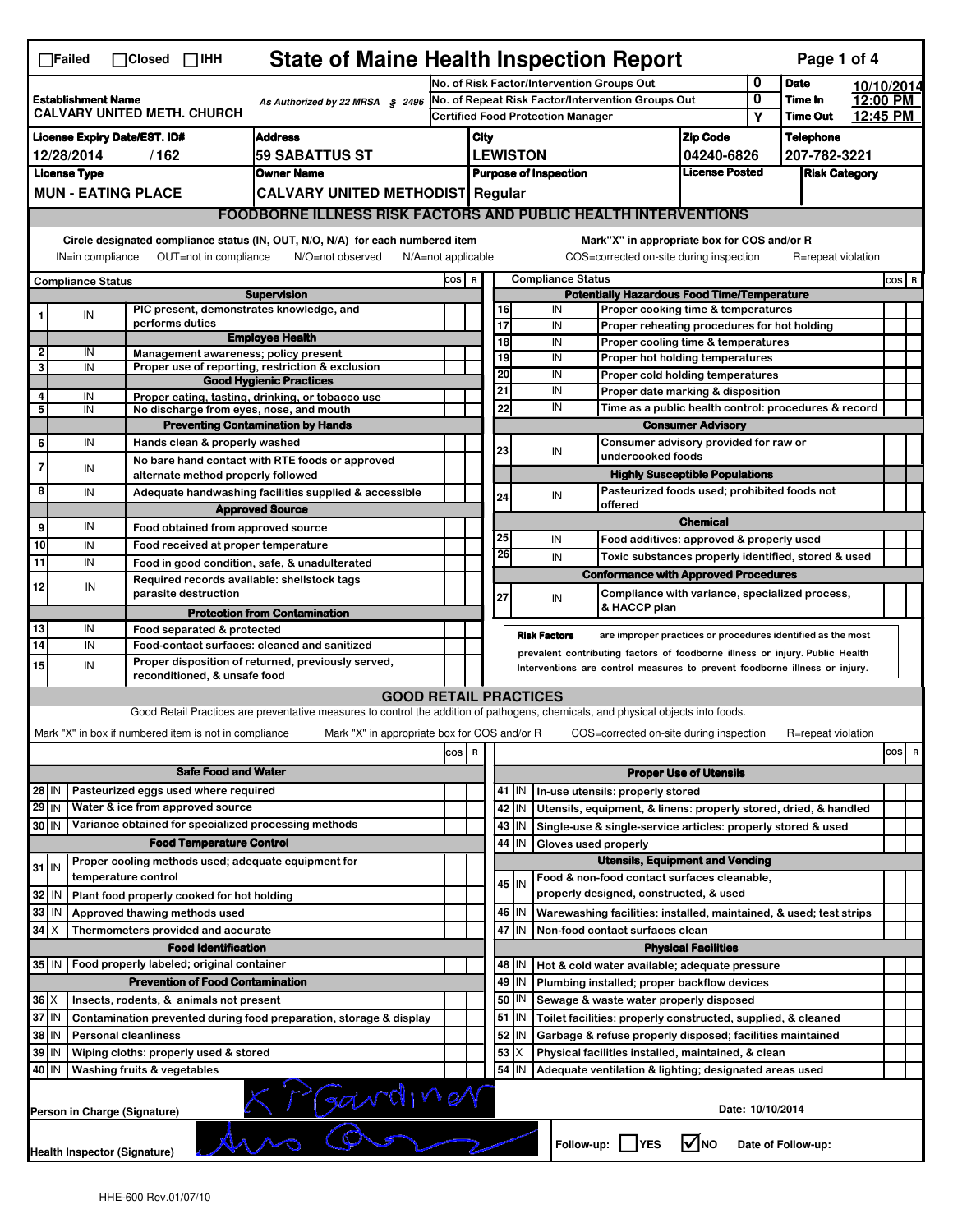| <b>State of Maine Health Inspection Report</b><br>Page 1 of 4<br>$\Box$ Failed<br>$\Box$ Closed $\Box$ IHH                                                                                                                                                                            |                                                                      |                     |                                                       |                                                                                                                                                                   |     |                                                             |                            |                                       |                                          |                                                                                           |                               |   |                      |            |         |   |  |  |
|---------------------------------------------------------------------------------------------------------------------------------------------------------------------------------------------------------------------------------------------------------------------------------------|----------------------------------------------------------------------|---------------------|-------------------------------------------------------|-------------------------------------------------------------------------------------------------------------------------------------------------------------------|-----|-------------------------------------------------------------|----------------------------|---------------------------------------|------------------------------------------|-------------------------------------------------------------------------------------------|-------------------------------|---|----------------------|------------|---------|---|--|--|
|                                                                                                                                                                                                                                                                                       |                                                                      |                     |                                                       |                                                                                                                                                                   |     | No. of Risk Factor/Intervention Groups Out                  |                            |                                       |                                          |                                                                                           |                               | 0 | <b>Date</b>          | 10/10/2014 |         |   |  |  |
| <b>Establishment Name</b><br>As Authorized by 22 MRSA § 2496<br><b>CALVARY UNITED METH. CHURCH</b>                                                                                                                                                                                    |                                                                      |                     |                                                       |                                                                                                                                                                   |     | No. of Repeat Risk Factor/Intervention Groups Out           |                            |                                       |                                          |                                                                                           |                               | 0 | Time In              | 12:00 PM   |         |   |  |  |
|                                                                                                                                                                                                                                                                                       |                                                                      |                     |                                                       |                                                                                                                                                                   |     |                                                             |                            |                                       | <b>Certified Food Protection Manager</b> |                                                                                           |                               | Υ | <b>Time Out</b>      | 12:45 PM   |         |   |  |  |
| <b>License Expiry Date/EST. ID#</b><br><b>Address</b>                                                                                                                                                                                                                                 |                                                                      |                     |                                                       |                                                                                                                                                                   |     | City                                                        |                            |                                       |                                          |                                                                                           | <b>Zip Code</b>               |   | <b>Telephone</b>     |            |         |   |  |  |
| 12/28/2014<br>/162<br><b>59 SABATTUS ST</b>                                                                                                                                                                                                                                           |                                                                      |                     |                                                       |                                                                                                                                                                   |     |                                                             |                            | <b>LEWISTON</b>                       |                                          |                                                                                           | 04240-6826                    |   | 207-782-3221         |            |         |   |  |  |
|                                                                                                                                                                                                                                                                                       | <b>License Type</b><br><b>Owner Name</b>                             |                     |                                                       |                                                                                                                                                                   |     |                                                             |                            |                                       | <b>Purpose of Inspection</b>             |                                                                                           | <b>License Posted</b>         |   | <b>Risk Category</b> |            |         |   |  |  |
|                                                                                                                                                                                                                                                                                       | <b>MUN - EATING PLACE</b><br><b>CALVARY UNITED METHODIST Regular</b> |                     |                                                       |                                                                                                                                                                   |     |                                                             |                            |                                       |                                          |                                                                                           |                               |   |                      |            |         |   |  |  |
|                                                                                                                                                                                                                                                                                       |                                                                      |                     |                                                       | <b>FOODBORNE ILLNESS RISK FACTORS AND PUBLIC HEALTH INTERVENTIONS</b>                                                                                             |     |                                                             |                            |                                       |                                          |                                                                                           |                               |   |                      |            |         |   |  |  |
| Circle designated compliance status (IN, OUT, N/O, N/A) for each numbered item<br>Mark"X" in appropriate box for COS and/or R<br>OUT=not in compliance<br>COS=corrected on-site during inspection<br>IN=in compliance<br>N/O=not observed<br>N/A=not applicable<br>R=repeat violation |                                                                      |                     |                                                       |                                                                                                                                                                   |     |                                                             |                            |                                       |                                          |                                                                                           |                               |   |                      |            |         |   |  |  |
|                                                                                                                                                                                                                                                                                       | <b>Compliance Status</b>                                             |                     |                                                       |                                                                                                                                                                   |     |                                                             |                            |                                       | <b>Compliance Status</b>                 |                                                                                           |                               |   |                      |            | $cos$ R |   |  |  |
|                                                                                                                                                                                                                                                                                       |                                                                      |                     |                                                       | <b>Supervision</b>                                                                                                                                                |     | COS R<br><b>Potentially Hazardous Food Time/Temperature</b> |                            |                                       |                                          |                                                                                           |                               |   |                      |            |         |   |  |  |
| 1                                                                                                                                                                                                                                                                                     | ${\sf IN}$                                                           |                     |                                                       | PIC present, demonstrates knowledge, and                                                                                                                          |     |                                                             | 16                         |                                       | IN                                       | Proper cooking time & temperatures                                                        |                               |   |                      |            |         |   |  |  |
|                                                                                                                                                                                                                                                                                       |                                                                      |                     | performs duties                                       | <b>Employee Health</b>                                                                                                                                            |     |                                                             | 17                         |                                       | IN                                       | Proper reheating procedures for hot holding                                               |                               |   |                      |            |         |   |  |  |
| 2                                                                                                                                                                                                                                                                                     | IN                                                                   |                     |                                                       | Management awareness; policy present                                                                                                                              |     |                                                             | $\overline{18}$            |                                       | IN                                       | Proper cooling time & temperatures                                                        |                               |   |                      |            |         |   |  |  |
| 3                                                                                                                                                                                                                                                                                     | IN                                                                   |                     |                                                       | Proper use of reporting, restriction & exclusion                                                                                                                  |     |                                                             | 19                         |                                       | IN                                       | Proper hot holding temperatures                                                           |                               |   |                      |            |         |   |  |  |
|                                                                                                                                                                                                                                                                                       |                                                                      |                     |                                                       | <b>Good Hygienic Practices</b>                                                                                                                                    |     |                                                             | 20<br>21                   |                                       | IN<br>IN                                 | Proper cold holding temperatures                                                          |                               |   |                      |            |         |   |  |  |
| 4                                                                                                                                                                                                                                                                                     | IN                                                                   |                     |                                                       | Proper eating, tasting, drinking, or tobacco use                                                                                                                  |     |                                                             | 22                         |                                       | IN                                       | Proper date marking & disposition<br>Time as a public health control: procedures & record |                               |   |                      |            |         |   |  |  |
| 5                                                                                                                                                                                                                                                                                     | IN                                                                   |                     |                                                       | No discharge from eyes, nose, and mouth                                                                                                                           |     |                                                             |                            |                                       |                                          |                                                                                           |                               |   |                      |            |         |   |  |  |
|                                                                                                                                                                                                                                                                                       | IN                                                                   |                     | Hands clean & properly washed                         | <b>Preventing Contamination by Hands</b>                                                                                                                          |     |                                                             |                            |                                       |                                          | <b>Consumer Advisory</b><br>Consumer advisory provided for raw or                         |                               |   |                      |            |         |   |  |  |
| 6                                                                                                                                                                                                                                                                                     |                                                                      |                     |                                                       |                                                                                                                                                                   |     |                                                             | 23                         |                                       | IN                                       | undercooked foods                                                                         |                               |   |                      |            |         |   |  |  |
| $\overline{7}$                                                                                                                                                                                                                                                                        | IN                                                                   |                     |                                                       | No bare hand contact with RTE foods or approved                                                                                                                   |     |                                                             |                            |                                       |                                          | <b>Highly Susceptible Populations</b>                                                     |                               |   |                      |            |         |   |  |  |
| 8                                                                                                                                                                                                                                                                                     | IN                                                                   |                     | alternate method properly followed                    |                                                                                                                                                                   |     |                                                             |                            |                                       |                                          |                                                                                           |                               |   |                      |            |         |   |  |  |
|                                                                                                                                                                                                                                                                                       |                                                                      |                     |                                                       | Adequate handwashing facilities supplied & accessible                                                                                                             |     |                                                             | 24                         |                                       | IN                                       | Pasteurized foods used; prohibited foods not<br>offered                                   |                               |   |                      |            |         |   |  |  |
|                                                                                                                                                                                                                                                                                       | IN                                                                   |                     |                                                       | <b>Approved Source</b>                                                                                                                                            |     |                                                             |                            |                                       |                                          |                                                                                           | <b>Chemical</b>               |   |                      |            |         |   |  |  |
| 9                                                                                                                                                                                                                                                                                     |                                                                      |                     | Food obtained from approved source                    |                                                                                                                                                                   |     |                                                             | 25                         |                                       | IN                                       | Food additives: approved & properly used                                                  |                               |   |                      |            |         |   |  |  |
| 10                                                                                                                                                                                                                                                                                    | IN                                                                   |                     | Food received at proper temperature                   |                                                                                                                                                                   |     |                                                             | 26                         |                                       | IN                                       | Toxic substances properly identified, stored & used                                       |                               |   |                      |            |         |   |  |  |
| 11                                                                                                                                                                                                                                                                                    | IN                                                                   |                     |                                                       | Food in good condition, safe, & unadulterated                                                                                                                     |     |                                                             |                            |                                       |                                          | <b>Conformance with Approved Procedures</b>                                               |                               |   |                      |            |         |   |  |  |
| 12                                                                                                                                                                                                                                                                                    | IN                                                                   |                     |                                                       | Required records available: shellstock tags                                                                                                                       |     |                                                             |                            |                                       |                                          |                                                                                           |                               |   |                      |            |         |   |  |  |
|                                                                                                                                                                                                                                                                                       |                                                                      |                     | parasite destruction                                  |                                                                                                                                                                   |     |                                                             | 27                         |                                       | IN                                       | Compliance with variance, specialized process,<br>& HACCP plan                            |                               |   |                      |            |         |   |  |  |
|                                                                                                                                                                                                                                                                                       |                                                                      |                     |                                                       | <b>Protection from Contamination</b>                                                                                                                              |     |                                                             |                            |                                       |                                          |                                                                                           |                               |   |                      |            |         |   |  |  |
| 13                                                                                                                                                                                                                                                                                    | IN                                                                   |                     | Food separated & protected                            |                                                                                                                                                                   |     |                                                             |                            |                                       | <b>Risk Factors</b>                      | are improper practices or procedures identified as the most                               |                               |   |                      |            |         |   |  |  |
| $\overline{14}$                                                                                                                                                                                                                                                                       | IN                                                                   |                     |                                                       | Food-contact surfaces: cleaned and sanitized                                                                                                                      |     |                                                             |                            |                                       |                                          | prevalent contributing factors of foodborne illness or injury. Public Health              |                               |   |                      |            |         |   |  |  |
| 15                                                                                                                                                                                                                                                                                    | IN                                                                   |                     | reconditioned, & unsafe food                          | Proper disposition of returned, previously served,                                                                                                                |     |                                                             |                            |                                       |                                          | Interventions are control measures to prevent foodborne illness or injury.                |                               |   |                      |            |         |   |  |  |
|                                                                                                                                                                                                                                                                                       |                                                                      |                     |                                                       |                                                                                                                                                                   |     |                                                             |                            |                                       |                                          |                                                                                           |                               |   |                      |            |         |   |  |  |
|                                                                                                                                                                                                                                                                                       |                                                                      |                     |                                                       | <b>GOOD RETAIL PRACTICES</b><br>Good Retail Practices are preventative measures to control the addition of pathogens, chemicals, and physical objects into foods. |     |                                                             |                            |                                       |                                          |                                                                                           |                               |   |                      |            |         |   |  |  |
|                                                                                                                                                                                                                                                                                       |                                                                      |                     |                                                       |                                                                                                                                                                   |     |                                                             |                            |                                       |                                          |                                                                                           |                               |   |                      |            |         |   |  |  |
|                                                                                                                                                                                                                                                                                       |                                                                      |                     | Mark "X" in box if numbered item is not in compliance | Mark "X" in appropriate box for COS and/or R                                                                                                                      |     |                                                             |                            |                                       |                                          | COS=corrected on-site during inspection                                                   |                               |   | R=repeat violation   |            |         |   |  |  |
|                                                                                                                                                                                                                                                                                       |                                                                      |                     |                                                       |                                                                                                                                                                   | cos | $\overline{\mathbf{R}}$                                     |                            |                                       |                                          |                                                                                           |                               |   |                      |            | cos     | R |  |  |
|                                                                                                                                                                                                                                                                                       | <b>Safe Food and Water</b>                                           |                     |                                                       |                                                                                                                                                                   |     |                                                             |                            |                                       |                                          |                                                                                           | <b>Proper Use of Utensils</b> |   |                      |            |         |   |  |  |
| $28$ IN                                                                                                                                                                                                                                                                               |                                                                      |                     | Pasteurized eggs used where required                  |                                                                                                                                                                   |     |                                                             |                            | 41 J IN                               |                                          | In-use utensils: properly stored                                                          |                               |   |                      |            |         |   |  |  |
| $29$ IN                                                                                                                                                                                                                                                                               |                                                                      |                     | Water & ice from approved source                      |                                                                                                                                                                   |     |                                                             | 42                         | IN                                    |                                          | Utensils, equipment, & linens: properly stored, dried, & handled                          |                               |   |                      |            |         |   |  |  |
| 30 IN                                                                                                                                                                                                                                                                                 |                                                                      |                     |                                                       | Variance obtained for specialized processing methods                                                                                                              |     |                                                             |                            | 43   IN                               |                                          | Single-use & single-service articles: properly stored & used                              |                               |   |                      |            |         |   |  |  |
|                                                                                                                                                                                                                                                                                       |                                                                      |                     | <b>Food Temperature Control</b>                       |                                                                                                                                                                   |     |                                                             | 44                         | IN                                    | Gloves used properly                     |                                                                                           |                               |   |                      |            |         |   |  |  |
|                                                                                                                                                                                                                                                                                       |                                                                      |                     |                                                       | Proper cooling methods used; adequate equipment for                                                                                                               |     |                                                             |                            |                                       |                                          | <b>Utensils, Equipment and Vending</b>                                                    |                               |   |                      |            |         |   |  |  |
| $31$ IN                                                                                                                                                                                                                                                                               |                                                                      | temperature control |                                                       |                                                                                                                                                                   |     |                                                             |                            |                                       |                                          | Food & non-food contact surfaces cleanable,                                               |                               |   |                      |            |         |   |  |  |
| 32                                                                                                                                                                                                                                                                                    | IN                                                                   |                     | Plant food properly cooked for hot holding            |                                                                                                                                                                   |     |                                                             |                            | $45$ IN                               |                                          | properly designed, constructed, & used                                                    |                               |   |                      |            |         |   |  |  |
| 33                                                                                                                                                                                                                                                                                    | IN                                                                   |                     | Approved thawing methods used                         |                                                                                                                                                                   |     |                                                             |                            | 46 IN                                 |                                          | Warewashing facilities: installed, maintained, & used; test strips                        |                               |   |                      |            |         |   |  |  |
| 34                                                                                                                                                                                                                                                                                    | $\boldsymbol{X}$                                                     |                     | Thermometers provided and accurate                    |                                                                                                                                                                   |     |                                                             | 47                         | IN<br>Non-food contact surfaces clean |                                          |                                                                                           |                               |   |                      |            |         |   |  |  |
|                                                                                                                                                                                                                                                                                       |                                                                      |                     | <b>Food Identification</b>                            |                                                                                                                                                                   |     |                                                             | <b>Physical Facilities</b> |                                       |                                          |                                                                                           |                               |   |                      |            |         |   |  |  |
|                                                                                                                                                                                                                                                                                       |                                                                      |                     | 35 IN   Food properly labeled; original container     |                                                                                                                                                                   |     |                                                             | 48                         | ΙN                                    |                                          | Hot & cold water available; adequate pressure                                             |                               |   |                      |            |         |   |  |  |
|                                                                                                                                                                                                                                                                                       |                                                                      |                     | <b>Prevention of Food Contamination</b>               |                                                                                                                                                                   |     |                                                             | 49                         | IN                                    |                                          | Plumbing installed; proper backflow devices                                               |                               |   |                      |            |         |   |  |  |
| $36 \times$                                                                                                                                                                                                                                                                           |                                                                      |                     | Insects, rodents, & animals not present               |                                                                                                                                                                   |     |                                                             | 50                         | IN                                    |                                          | Sewage & waste water properly disposed                                                    |                               |   |                      |            |         |   |  |  |
|                                                                                                                                                                                                                                                                                       |                                                                      |                     |                                                       |                                                                                                                                                                   |     |                                                             | 51                         | IN                                    |                                          | Toilet facilities: properly constructed, supplied, & cleaned                              |                               |   |                      |            |         |   |  |  |
| 37 IN<br>Contamination prevented during food preparation, storage & display                                                                                                                                                                                                           |                                                                      |                     |                                                       |                                                                                                                                                                   |     |                                                             | 52                         |                                       |                                          |                                                                                           |                               |   |                      |            |         |   |  |  |
| 38<br>IN<br><b>Personal cleanliness</b><br>Wiping cloths: properly used & stored                                                                                                                                                                                                      |                                                                      |                     |                                                       |                                                                                                                                                                   |     |                                                             | 53                         | IN                                    |                                          | Garbage & refuse properly disposed; facilities maintained                                 |                               |   |                      |            |         |   |  |  |
| 39                                                                                                                                                                                                                                                                                    | IN                                                                   |                     |                                                       |                                                                                                                                                                   |     |                                                             |                            | X                                     |                                          | Physical facilities installed, maintained, & clean                                        |                               |   |                      |            |         |   |  |  |
| 54 IN<br>40 IN<br>Washing fruits & vegetables<br>Adequate ventilation & lighting; designated areas used                                                                                                                                                                               |                                                                      |                     |                                                       |                                                                                                                                                                   |     |                                                             |                            |                                       |                                          |                                                                                           |                               |   |                      |            |         |   |  |  |
|                                                                                                                                                                                                                                                                                       | K Mardiner<br>Date: 10/10/2014<br>Person in Charge (Signature)       |                     |                                                       |                                                                                                                                                                   |     |                                                             |                            |                                       |                                          |                                                                                           |                               |   |                      |            |         |   |  |  |
|                                                                                                                                                                                                                                                                                       |                                                                      |                     |                                                       |                                                                                                                                                                   |     |                                                             |                            |                                       |                                          |                                                                                           |                               |   |                      |            |         |   |  |  |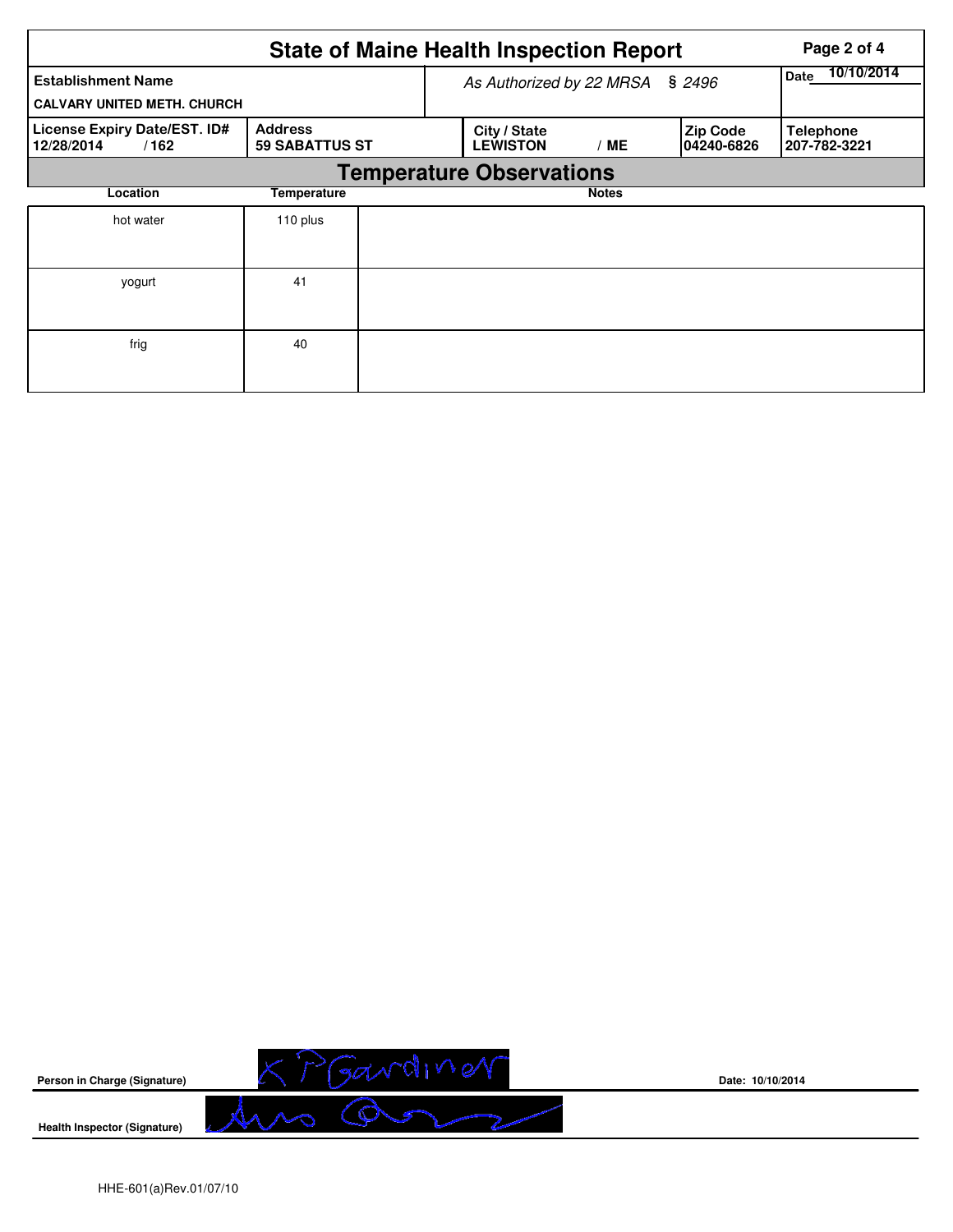|                                                                 |                                         | <b>State of Maine Health Inspection Report</b> | Page 2 of 4        |                               |                                  |
|-----------------------------------------------------------------|-----------------------------------------|------------------------------------------------|--------------------|-------------------------------|----------------------------------|
| <b>Establishment Name</b><br><b>CALVARY UNITED METH. CHURCH</b> |                                         | As Authorized by 22 MRSA                       | 10/10/2014<br>Date |                               |                                  |
| License Expiry Date/EST. ID#<br>12/28/2014<br>/162              | <b>Address</b><br><b>59 SABATTUS ST</b> | City / State<br><b>LEWISTON</b>                | / ME               | <b>Zip Code</b><br>04240-6826 | <b>Telephone</b><br>207-782-3221 |
|                                                                 |                                         | <b>Temperature Observations</b>                |                    |                               |                                  |
| Location                                                        | Temperature                             |                                                | <b>Notes</b>       |                               |                                  |
| hot water                                                       | 110 plus                                |                                                |                    |                               |                                  |
| yogurt                                                          | 41                                      |                                                |                    |                               |                                  |
| frig                                                            | 40                                      |                                                |                    |                               |                                  |



**Date: 10/10/2014**

HHE-601(a)Rev.01/07/10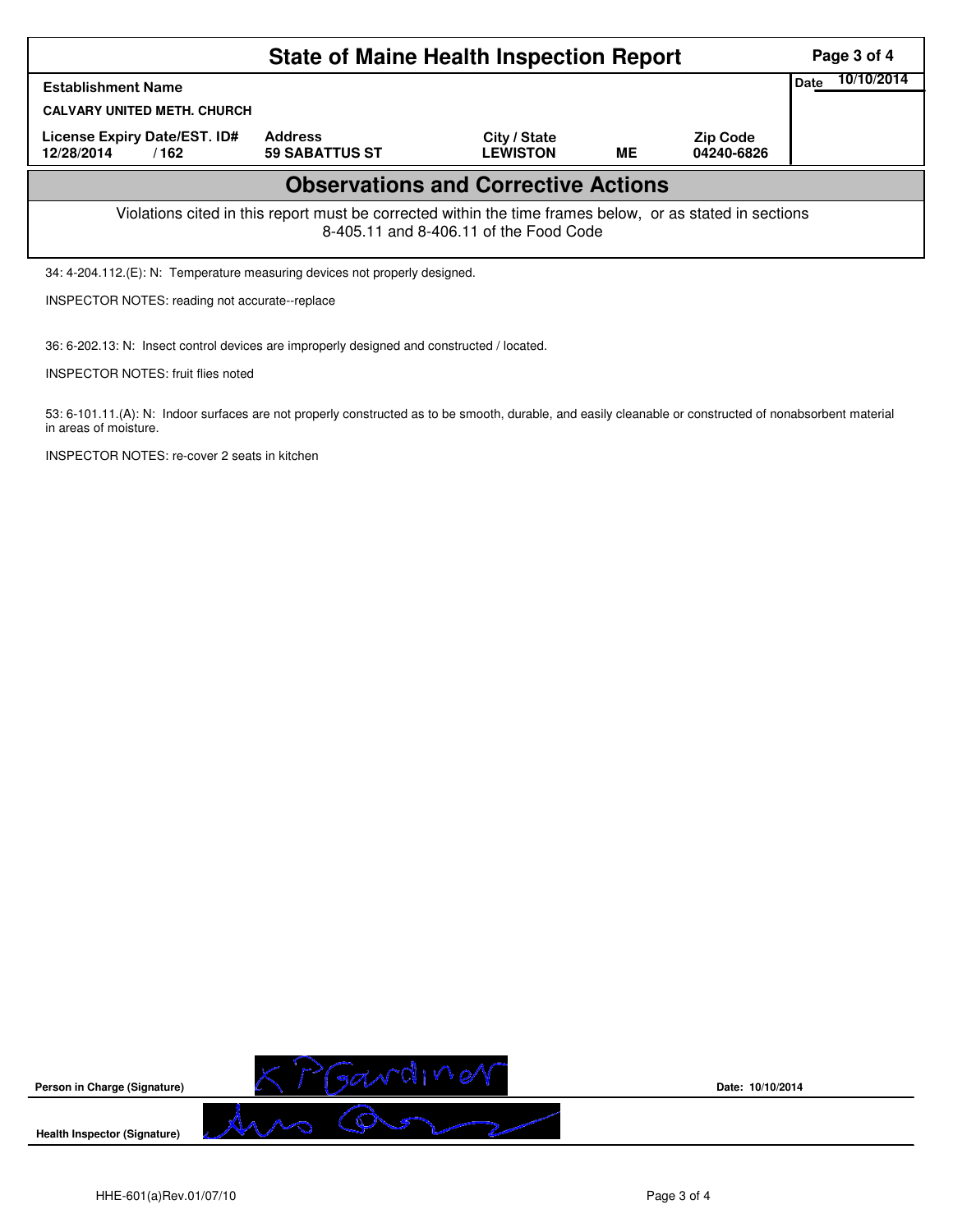| <b>State of Maine Health Inspection Report</b>                                                                                                     |                                         |                                 |    |                               |      |            |  |  |  |
|----------------------------------------------------------------------------------------------------------------------------------------------------|-----------------------------------------|---------------------------------|----|-------------------------------|------|------------|--|--|--|
| <b>Establishment Name</b>                                                                                                                          |                                         |                                 |    |                               | Date | 10/10/2014 |  |  |  |
| <b>CALVARY UNITED METH. CHURCH</b>                                                                                                                 |                                         |                                 |    |                               |      |            |  |  |  |
| License Expiry Date/EST. ID#<br>12/28/2014<br>/162                                                                                                 | <b>Address</b><br><b>59 SABATTUS ST</b> | City / State<br><b>LEWISTON</b> | ME | <b>Zip Code</b><br>04240-6826 |      |            |  |  |  |
| <b>Observations and Corrective Actions</b>                                                                                                         |                                         |                                 |    |                               |      |            |  |  |  |
| Violations cited in this report must be corrected within the time frames below, or as stated in sections<br>8-405.11 and 8-406.11 of the Food Code |                                         |                                 |    |                               |      |            |  |  |  |
| 34: 4-204.112. (E): N: Temperature measuring devices not properly designed.                                                                        |                                         |                                 |    |                               |      |            |  |  |  |

INSPECTOR NOTES: reading not accurate--replace

36: 6-202.13: N: Insect control devices are improperly designed and constructed / located.

INSPECTOR NOTES: fruit flies noted

53: 6-101.11.(A): N: Indoor surfaces are not properly constructed as to be smooth, durable, and easily cleanable or constructed of nonabsorbent material in areas of moisture.

INSPECTOR NOTES: re-cover 2 seats in kitchen



**Date: 10/10/2014**